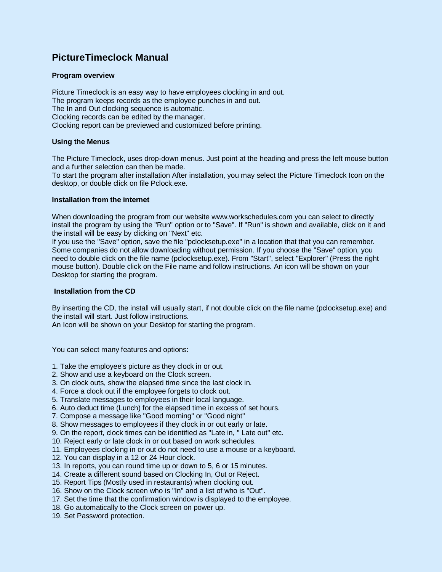# **PictureTimeclock Manual**

# **Program overview**

Picture Timeclock is an easy way to have employees clocking in and out. The program keeps records as the employee punches in and out. The In and Out clocking sequence is automatic. Clocking records can be edited by the manager. Clocking report can be previewed and customized before printing.

# **Using the Menus**

The Picture Timeclock, uses drop-down menus. Just point at the heading and press the left mouse button and a further selection can then be made.

To start the program after installation After installation, you may select the Picture Timeclock Icon on the desktop, or double click on file Pclock.exe.

# **Installation from the internet**

When downloading the program from our website www.workschedules.com you can select to directly install the program by using the "Run" option or to "Save". If "Run" is shown and available, click on it and the install will be easy by clicking on "Next" etc.

If you use the "Save" option, save the file "pclocksetup.exe" in a location that that you can remember. Some companies do not allow downloading without permission. If you choose the "Save" option, you need to double click on the file name (pclocksetup.exe). From "Start", select "Explorer" (Press the right mouse button). Double click on the File name and follow instructions. An icon will be shown on your Desktop for starting the program.

## **Installation from the CD**

By inserting the CD, the install will usually start, if not double click on the file name (pclocksetup.exe) and the install will start. Just follow instructions.

An Icon will be shown on your Desktop for starting the program.

You can select many features and options:

- 1. Take the employee's picture as they clock in or out.
- 2. Show and use a keyboard on the Clock screen.
- 3. On clock outs, show the elapsed time since the last clock in.
- 4. Force a clock out if the employee forgets to clock out.
- 5. Translate messages to employees in their local language.
- 6. Auto deduct time (Lunch) for the elapsed time in excess of set hours.
- 7. Compose a message like "Good morning" or "Good night"
- 8. Show messages to employees if they clock in or out early or late.
- 9. On the report, clock times can be identified as "Late in, " Late out" etc.
- 10. Reject early or late clock in or out based on work schedules.
- 11. Employees clocking in or out do not need to use a mouse or a keyboard.
- 12. You can display in a 12 or 24 Hour clock.
- 13. In reports, you can round time up or down to 5, 6 or 15 minutes.
- 14. Create a different sound based on Clocking In, Out or Reject.
- 15. Report Tips (Mostly used in restaurants) when clocking out.
- 16. Show on the Clock screen who is "In" and a list of who is "Out".
- 17. Set the time that the confirmation window is displayed to the employee.
- 18. Go automatically to the Clock screen on power up.
- 19. Set Password protection.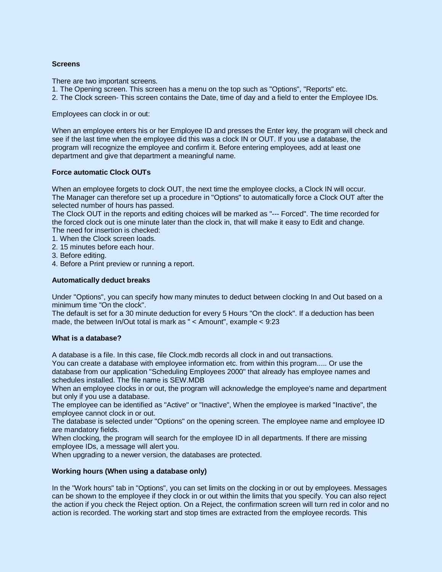## **Screens**

There are two important screens.

- 1. The Opening screen. This screen has a menu on the top such as "Options", "Reports" etc.
- 2. The Clock screen- This screen contains the Date, time of day and a field to enter the Employee IDs.

Employees can clock in or out:

When an employee enters his or her Employee ID and presses the Enter key, the program will check and see if the last time when the employee did this was a clock IN or OUT. If you use a database, the program will recognize the employee and confirm it. Before entering employees, add at least one department and give that department a meaningful name.

## **Force automatic Clock OUTs**

When an employee forgets to clock OUT, the next time the employee clocks, a Clock IN will occur. The Manager can therefore set up a procedure in "Options" to automatically force a Clock OUT after the selected number of hours has passed.

The Clock OUT in the reports and editing choices will be marked as "--- Forced". The time recorded for the forced clock out is one minute later than the clock in, that will make it easy to Edit and change. The need for insertion is checked:

- 1. When the Clock screen loads.
- 2. 15 minutes before each hour.
- 3. Before editing.
- 4. Before a Print preview or running a report.

#### **Automatically deduct breaks**

Under "Options", you can specify how many minutes to deduct between clocking In and Out based on a minimum time "On the clock".

The default is set for a 30 minute deduction for every 5 Hours "On the clock". If a deduction has been made, the between In/Out total is mark as " < Amount", example < 9:23

#### **What is a database?**

A database is a file. In this case, file Clock.mdb records all clock in and out transactions.

You can create a database with employee information etc. from within this program..... Or use the database from our application "Scheduling Employees 2000" that already has employee names and schedules installed. The file name is SEW.MDB

When an employee clocks in or out, the program will acknowledge the employee's name and department but only if you use a database.

The employee can be identified as "Active" or "Inactive", When the employee is marked "Inactive", the employee cannot clock in or out.

The database is selected under "Options" on the opening screen. The employee name and employee ID are mandatory fields.

When clocking, the program will search for the employee ID in all departments. If there are missing employee IDs, a message will alert you.

When upgrading to a newer version, the databases are protected.

# **Working hours (When using a database only)**

In the "Work hours" tab in "Options", you can set limits on the clocking in or out by employees. Messages can be shown to the employee if they clock in or out within the limits that you specify. You can also reject the action if you check the Reject option. On a Reject, the confirmation screen will turn red in color and no action is recorded. The working start and stop times are extracted from the employee records. This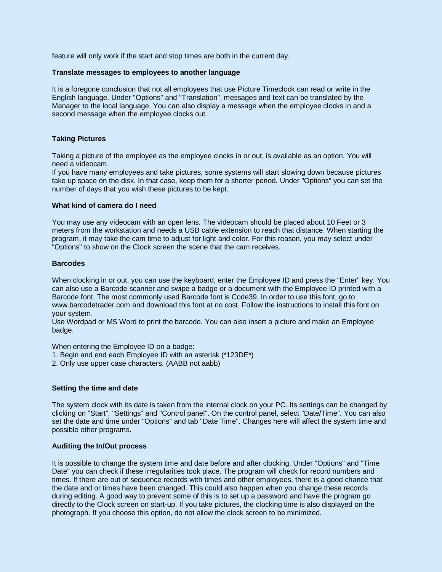feature will only work if the start and stop times are both in the current day.

#### **Translate messages to employees to another language**

It is a foregone conclusion that not all employees that use Picture Timeclock can read or write in the English language. Under "Options" and "Translation", messages and text can be translated by the Manager to the local language. You can also display a message when the employee clocks in and a second message when the employee clocks out.

## **Taking Pictures**

Taking a picture of the employee as the employee clocks in or out, is available as an option. You will need a videocam.

If you have many employees and take pictures, some systems will start slowing down because pictures take up space on the disk. In that case, keep them for a shorter period. Under "Options" you can set the number of days that you wish these pictures to be kept.

## **What kind of camera do I need**

You may use any videocam with an open lens. The videocam should be placed about 10 Feet or 3 meters from the workstation and needs a USB cable extension to reach that distance. When starting the program, it may take the cam time to adjust for light and color. For this reason, you may select under "Options" to show on the Clock screen the scene that the cam receives.

#### **Barcodes**

When clocking in or out, you can use the keyboard, enter the Employee ID and press the "Enter" key. You can also use a Barcode scanner and swipe a badge or a document with the Employee ID printed with a Barcode font. The most commonly used Barcode font is Code39. In order to use this font, go to www.barcodetrader.com and download this font at no cost. Follow the instructions to install this font on your system.

Use Wordpad or MS Word to print the barcode. You can also insert a picture and make an Employee badge.

When entering the Employee ID on a badge:

- 1. Begin and end each Employee ID with an asterisk (\*123DE\*)
- 2. Only use upper case characters. (AABB not aabb)

## **Setting the time and date**

The system clock with its date is taken from the internal clock on your PC. Its settings can be changed by clicking on "Start", "Settings" and "Control panel". On the control panel, select "Date/Time". You can also set the date and time under "Options" and tab "Date Time". Changes here will affect the system time and possible other programs.

## **Auditing the In/Out process**

It is possible to change the system time and date before and after clocking. Under "Options" and "Time Date" you can check if these irregularities took place. The program will check for record numbers and times. If there are out of sequence records with times and other employees, there is a good chance that the date and or times have been changed. This could also happen when you change these records during editing. A good way to prevent some of this is to set up a password and have the program go directly to the Clock screen on start-up. If you take pictures, the clocking time is also displayed on the photograph. If you choose this option, do not allow the clock screen to be minimized.